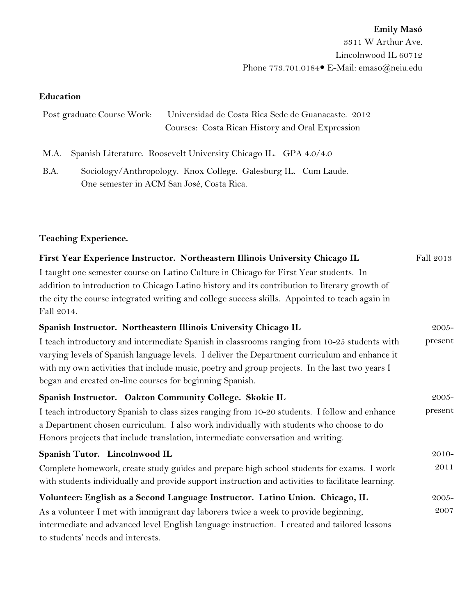## **Education**

| Post graduate Course Work: Universidad de Costa Rica Sede de Guanacaste. 2012 |
|-------------------------------------------------------------------------------|
| Courses: Costa Rican History and Oral Expression                              |

M.A. Spanish Literature. Roosevelt University Chicago IL. GPA 4.0/4.0

B.A. Sociology/Anthropology. Knox College. Galesburg IL. Cum Laude. One semester in ACM San José, Costa Rica.

## **Teaching Experience.**

| First Year Experience Instructor. Northeastern Illinois University Chicago IL                     | Fall 2013 |
|---------------------------------------------------------------------------------------------------|-----------|
| I taught one semester course on Latino Culture in Chicago for First Year students. In             |           |
| addition to introduction to Chicago Latino history and its contribution to literary growth of     |           |
| the city the course integrated writing and college success skills. Appointed to teach again in    |           |
| Fall 2014.                                                                                        |           |
| Spanish Instructor. Northeastern Illinois University Chicago IL                                   | 2005-     |
| I teach introductory and intermediate Spanish in classrooms ranging from 10-25 students with      |           |
| varying levels of Spanish language levels. I deliver the Department curriculum and enhance it     |           |
| with my own activities that include music, poetry and group projects. In the last two years I     |           |
| began and created on-line courses for beginning Spanish.                                          |           |
| Spanish Instructor. Oakton Community College. Skokie IL                                           | $2005 -$  |
| I teach introductory Spanish to class sizes ranging from 10-20 students. I follow and enhance     | present   |
| a Department chosen curriculum. I also work individually with students who choose to do           |           |
| Honors projects that include translation, intermediate conversation and writing.                  |           |
| Spanish Tutor. Lincolnwood IL                                                                     | 2010-     |
| Complete homework, create study guides and prepare high school students for exams. I work         |           |
| with students individually and provide support instruction and activities to facilitate learning. |           |
| Volunteer: English as a Second Language Instructor. Latino Union. Chicago, IL                     | 2005-     |
| As a volunteer I met with immigrant day laborers twice a week to provide beginning,               |           |
| intermediate and advanced level English language instruction. I created and tailored lessons      |           |
| to students' needs and interests.                                                                 |           |